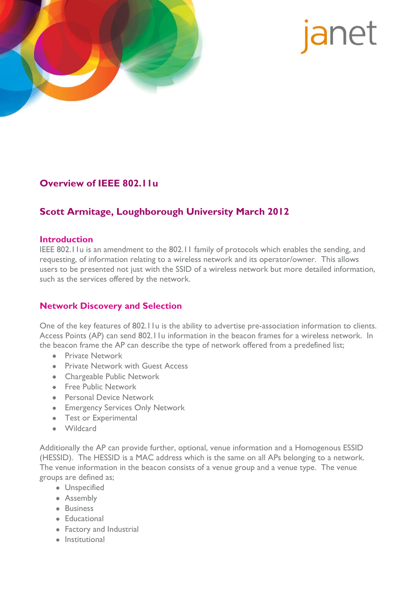

# janet

## **Overview of IEEE 802.11u**

# **Scott Armitage, Loughborough University March 2012**

#### **Introduction**

IEEE 802.11u is an amendment to the 802.11 family of protocols which enables the sending, and requesting, of information relating to a wireless network and its operator/owner. This allows users to be presented not just with the SSID of a wireless network but more detailed information, such as the services offered by the network.

## **Network Discovery and Selection**

One of the key features of 802.11u is the ability to advertise pre-association information to clients. Access Points (AP) can send 802.11u information in the beacon frames for a wireless network. In the beacon frame the AP can describe the type of network offered from a predefined list;

- **•** Private Network
- **Private Network with Guest Access**
- Chargeable Public Network
- Free Public Network
- **•** Personal Device Network
- **•** Emergency Services Only Network
- Test or Experimental
- Wildcard

Additionally the AP can provide further, optional, venue information and a Homogenous ESSID (HESSID). The HESSID is a MAC address which is the same on all APs belonging to a network. The venue information in the beacon consists of a venue group and a venue type. The venue groups are defined as;

- **·** Unspecified
- Assembly
- Business
- Educational
- Factory and Industrial
- Institutional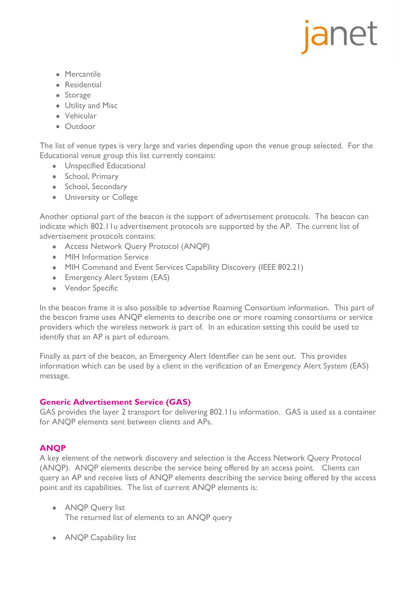# janet

- Mercantile
- **•** Residential
- Storage
- Utility and Misc
- Vehicular
- Outdoor

The list of venue types is very large and varies depending upon the venue group selected. For the Educational venue group this list currently contains:

- **•** Unspecified Educational
- School, Primary
- School, Secondary
- **•** University or College

Another optional part of the beacon is the support of advertisement protocols. The beacon can indicate which 802.11u advertisement protocols are supported by the AP. The current list of advertisement protocols contains:

- Access Network Query Protocol (ANQP)
- MIH Information Service
- MIH Command and Event Services Capability Discovery (IEEE 802.21)
- Emergency Alert System (EAS)
- Vendor Specific

In the beacon frame it is also possible to advertise Roaming Consortium information. This part of the beacon frame uses ANQP elements to describe one or more roaming consortiums or service providers which the wireless network is part of. In an education setting this could be used to identify that an AP is part of eduroam.

Finally as part of the beacon, an Emergency Alert Identifier can be sent out. This provides information which can be used by a client in the verification of an Emergency Alert System (EAS) message.

#### **Generic Advertisement Service (GAS)**

GAS provides the layer 2 transport for delivering 802.11u information. GAS is used as a container for ANQP elements sent between clients and APs.

## **ANQP**

A key element of the network discovery and selection is the Access Network Query Protocol (ANQP). ANQP elements describe the service being offered by an access point. Clients can query an AP and receive lists of ANQP elements describing the service being offered by the access point and its capabilities. The list of current ANQP elements is:

- ANQP Query list The returned list of elements to an ANQP query
- ANQP Capability list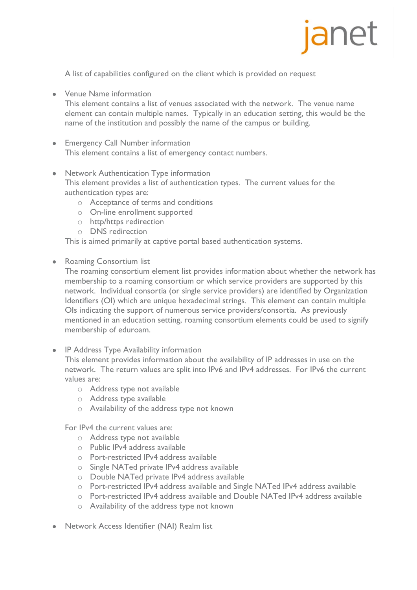

A list of capabilities configured on the client which is provided on request

Venue Name information

This element contains a list of venues associated with the network. The venue name element can contain multiple names. Typically in an education setting, this would be the name of the institution and possibly the name of the campus or building.

- Emergency Call Number information This element contains a list of emergency contact numbers.
- Network Authentication Type information This element provides a list of authentication types. The current values for the authentication types are:
	- o Acceptance of terms and conditions
	- o On-line enrollment supported
	- o http/https redirection
	- o DNS redirection

This is aimed primarily at captive portal based authentication systems.

Roaming Consortium list

The roaming consortium element list provides information about whether the network has membership to a roaming consortium or which service providers are supported by this network. Individual consortia (or single service providers) are identified by Organization Identifiers (OI) which are unique hexadecimal strings. This element can contain multiple OIs indicating the support of numerous service providers/consortia. As previously mentioned in an education setting, roaming consortium elements could be used to signify membership of eduroam.

• IP Address Type Availability information

This element provides information about the availability of IP addresses in use on the network. The return values are split into IPv6 and IPv4 addresses. For IPv6 the current values are:

- o Address type not available
- o Address type available
- o Availability of the address type not known

For IPv4 the current values are:

- o Address type not available
- o Public IPv4 address available
- o Port-restricted IPv4 address available
- o Single NATed private IPv4 address available
- o Double NATed private IPv4 address available
- o Port-restricted IPv4 address available and Single NATed IPv4 address available
- o Port-restricted IPv4 address available and Double NATed IPv4 address available
- o Availability of the address type not known
- Network Access Identifier (NAI) Realm list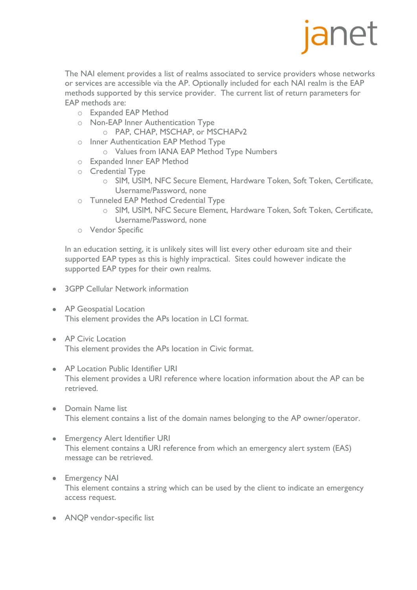

The NAI element provides a list of realms associated to service providers whose networks or services are accessible via the AP. Optionally included for each NAI realm is the EAP methods supported by this service provider. The current list of return parameters for EAP methods are:

- o Expanded EAP Method
- o Non-EAP Inner Authentication Type
	- o PAP, CHAP, MSCHAP, or MSCHAPv2
- o Inner Authentication EAP Method Type
	- o Values from IANA EAP Method Type Numbers
- o Expanded Inner EAP Method
- o Credential Type
	- o SIM, USIM, NFC Secure Element, Hardware Token, Soft Token, Certificate, Username/Password, none
- o Tunneled EAP Method Credential Type
	- o SIM, USIM, NFC Secure Element, Hardware Token, Soft Token, Certificate, Username/Password, none
- o Vendor Specific

In an education setting, it is unlikely sites will list every other eduroam site and their supported EAP types as this is highly impractical. Sites could however indicate the supported EAP types for their own realms.

- 3GPP Cellular Network information
- AP Geospatial Location This element provides the APs location in LCI format.
- AP Civic Location This element provides the APs location in Civic format.
- AP Location Public Identifier URI This element provides a URI reference where location information about the AP can be retrieved.
- Domain Name list This element contains a list of the domain names belonging to the AP owner/operator.
- Emergency Alert Identifier URI This element contains a URI reference from which an emergency alert system (EAS) message can be retrieved.
- Emergency NAI This element contains a string which can be used by the client to indicate an emergency access request.
- ANQP vendor-specific list